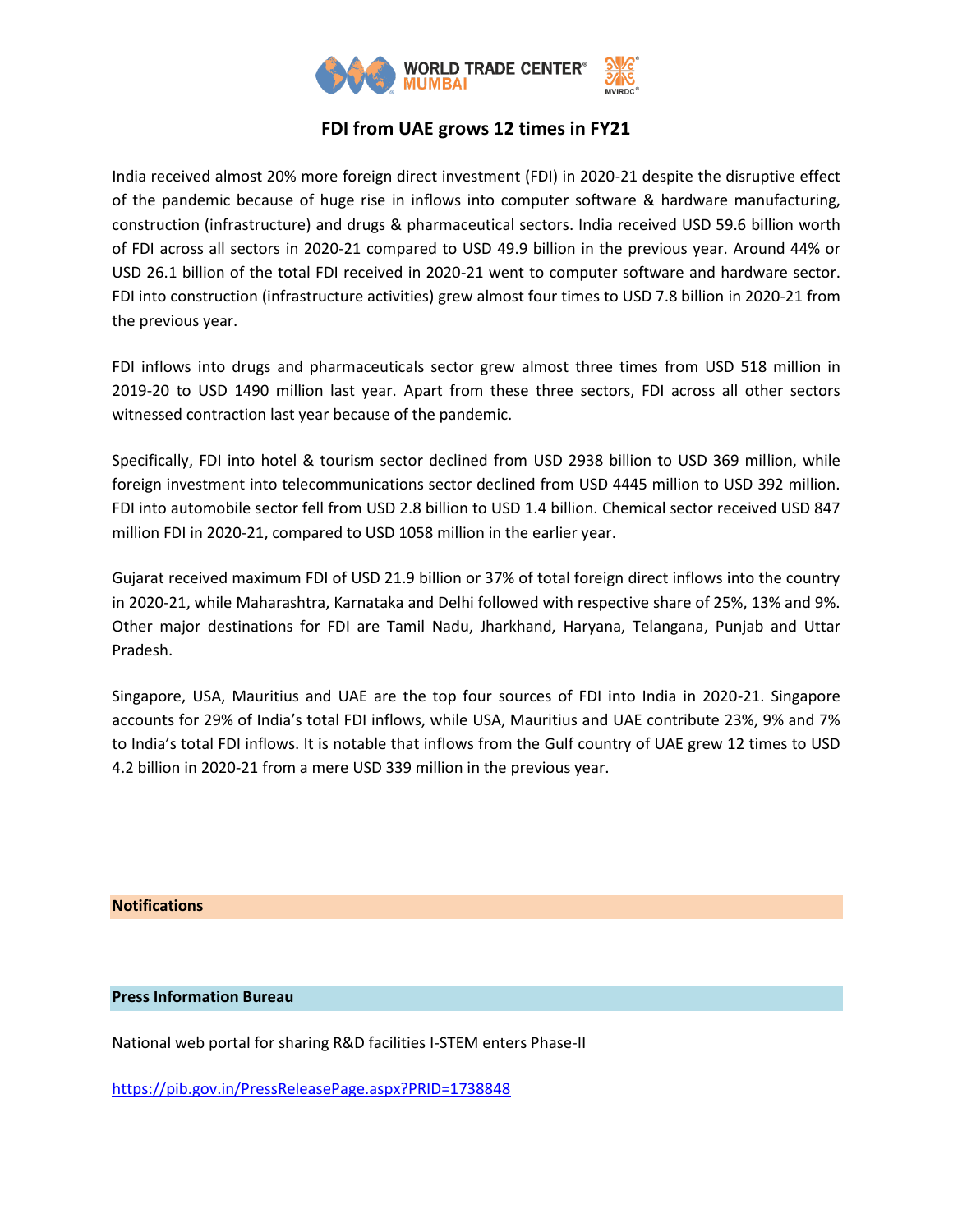

## **FDI from UAE grows 12 times in FY21**

India received almost 20% more foreign direct investment (FDI) in 2020-21 despite the disruptive effect of the pandemic because of huge rise in inflows into computer software & hardware manufacturing, construction (infrastructure) and drugs & pharmaceutical sectors. India received USD 59.6 billion worth of FDI across all sectors in 2020-21 compared to USD 49.9 billion in the previous year. Around 44% or USD 26.1 billion of the total FDI received in 2020-21 went to computer software and hardware sector. FDI into construction (infrastructure activities) grew almost four times to USD 7.8 billion in 2020-21 from the previous year.

FDI inflows into drugs and pharmaceuticals sector grew almost three times from USD 518 million in 2019-20 to USD 1490 million last year. Apart from these three sectors, FDI across all other sectors witnessed contraction last year because of the pandemic.

Specifically, FDI into hotel & tourism sector declined from USD 2938 billion to USD 369 million, while foreign investment into telecommunications sector declined from USD 4445 million to USD 392 million. FDI into automobile sector fell from USD 2.8 billion to USD 1.4 billion. Chemical sector received USD 847 million FDI in 2020-21, compared to USD 1058 million in the earlier year.

Gujarat received maximum FDI of USD 21.9 billion or 37% of total foreign direct inflows into the country in 2020-21, while Maharashtra, Karnataka and Delhi followed with respective share of 25%, 13% and 9%. Other major destinations for FDI are Tamil Nadu, Jharkhand, Haryana, Telangana, Punjab and Uttar Pradesh.

Singapore, USA, Mauritius and UAE are the top four sources of FDI into India in 2020-21. Singapore accounts for 29% of India's total FDI inflows, while USA, Mauritius and UAE contribute 23%, 9% and 7% to India's total FDI inflows. It is notable that inflows from the Gulf country of UAE grew 12 times to USD 4.2 billion in 2020-21 from a mere USD 339 million in the previous year.

## **Notifications**

## **Press Information Bureau**

National web portal for sharing R&D facilities I-STEM enters Phase-II

<https://pib.gov.in/PressReleasePage.aspx?PRID=1738848>